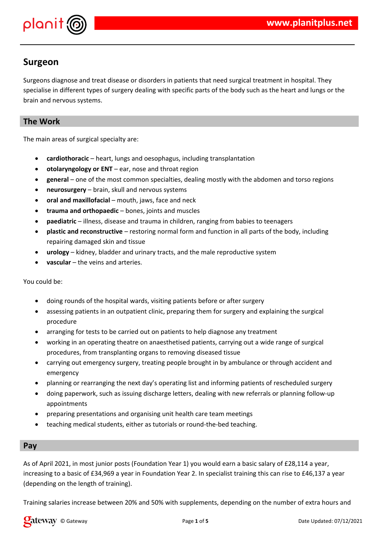

### **Surgeon**

Surgeons diagnose and treat disease or disorders in patients that need surgical treatment in hospital. They specialise in different types of surgery dealing with specific parts of the body such as the heart and lungs or the brain and nervous systems.

#### **The Work**

The main areas of surgical specialty are:

- **cardiothoracic** heart, lungs and oesophagus, including transplantation
- **otolaryngology or ENT** ear, nose and throat region
- **general** one of the most common specialties, dealing mostly with the abdomen and torso regions
- **neurosurgery** brain, skull and nervous systems
- **oral and maxillofacial** mouth, jaws, face and neck
- **trauma and orthopaedic** bones, joints and muscles
- **paediatric** illness, disease and trauma in children, ranging from babies to teenagers
- **plastic and reconstructive** restoring normal form and function in all parts of the body, including repairing damaged skin and tissue
- **urology** kidney, bladder and urinary tracts, and the male reproductive system
- **vascular** the veins and arteries.

You could be:

- doing rounds of the hospital wards, visiting patients before or after surgery
- assessing patients in an outpatient clinic, preparing them for surgery and explaining the surgical procedure
- arranging for tests to be carried out on patients to help diagnose any treatment
- working in an operating theatre on anaesthetised patients, carrying out a wide range of surgical procedures, from transplanting organs to removing diseased tissue
- carrying out emergency surgery, treating people brought in by ambulance or through accident and emergency
- planning or rearranging the next day's operating list and informing patients of rescheduled surgery
- doing paperwork, such as issuing discharge letters, dealing with new referrals or planning follow-up appointments
- preparing presentations and organising unit health care team meetings
- teaching medical students, either as tutorials or round-the-bed teaching.

#### **Pay**

As of April 2021, in most junior posts (Foundation Year 1) you would earn a basic salary of £28,114 a year, increasing to a basic of £34,969 a year in Foundation Year 2. In specialist training this can rise to £46,137 a year (depending on the length of training).

Training salaries increase between 20% and 50% with supplements, depending on the number of extra hours and

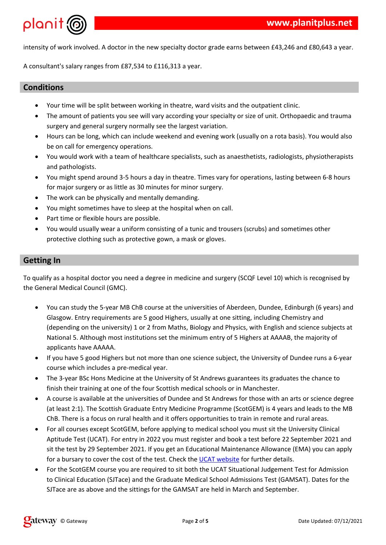$8 \t# \t#$ ,

"  $023\%$  25 01 %

9 01 % 8 302 5 % 3 3  $\overline{\phantom{a}}$  $\overline{\phantom{a}}$  8  $\overline{(}$  $%$  #  $\frac{1}{2} \left( \frac{1}{2} \right)^2 + \frac{1}{2} \left( \frac{1}{2} \right)^2 + \frac{1}{2} \left( \frac{1}{2} \right)^2 + \frac{1}{2} \left( \frac{1}{2} \right)^2 + \frac{1}{2} \left( \frac{1}{2} \right)^2 + \frac{1}{2} \left( \frac{1}{2} \right)^2 + \frac{1}{2} \left( \frac{1}{2} \right)^2 + \frac{1}{2} \left( \frac{1}{2} \right)^2 + \frac{1}{2} \left( \frac{1}{2} \right)^2 + \frac{1}{2} \left( \frac{1}{2} \right)^2 +$  $\mathbf{I}$  $\#$  $#$  $\#$  8.  $\qquad$  " / (  $\mathbf{0}$  and  $\mathbf{0}$  $%$  &  $\prec$  $\hat{\mathbf{u}}$  $\%$  $\alpha$  $\%$  %  $\overline{(\ }$ % "  $5+1$  $3 + 8$  $\frac{1}{2}$  #  $\overline{(\ }$  $\mathbf{r}$  $\overline{\phantom{a}}$  3  $\mathbf{I}$  .  $8<sup>2</sup>$  $\overline{(\ }$  $#$  $\overline{)}$  "  $\mathbf{u} = \mathbf{u}$  $^{\prime\prime}$  /  $\overline{(\ }$  $#$  $# \%$  & #  $#$  $\mathbf{1} \quad = \quad$  $-$  > ? . @ #  $A \rightarrow A > /$  $, "$  % C  $"$  - 5 /  $84 + B > B$  $\left($  $#$  $\overline{C}$  $\frac{1}{2}$  $8<sup>8</sup>$  $\%$  $=$  $\leq$  $\%$  $\sim 1000$  $#$  / A  $\overline{C}$ B% , , , , B  $\%$  $8,$ D  $\alpha$  -  $\beta$  -  $\beta$  $8 <$  $#$  $, , , , , ,$  $^{\prime\prime}$   $^{\prime}$   $^{\prime\prime}$   $^{\prime\prime}$  $6\overline{6}$ # 8  $"<$  $#$  $5+$  $! \t3+ \tB$  $\mathsf{A}$  $#$  $\overline{\phantom{a}}$  $\overline{A}$  $\#$  " $\#$  $\overline{\phantom{a}}$  $\sqrt{1}$ A - CA2/  $\mathsf{C}$ A<sub>B</sub>  $>$  B !  $\begin{array}{ccc} & C A \, \% & " \end{array}$  $\begin{array}{ccc}\n & & & \# \\
& \& & \cdots & & \cdots \\
& A & & & \text{-,C A }, \end{array}$  $\geq$  $\overline{\phantom{a}}$  8.  $E \qquad , 1$  $> 1$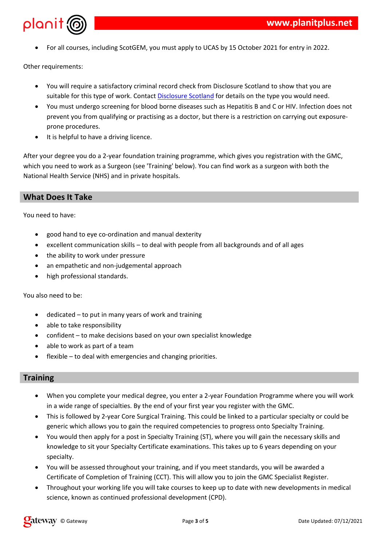

 $\, \, \$$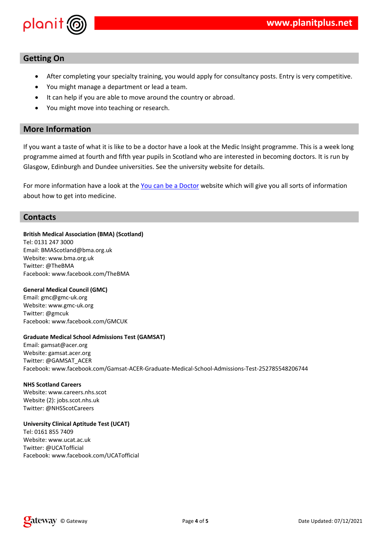$\mathbf{u}$  $\mathbf{I}$  $C$  #  $\frac{6}{6}$  $\overline{\phantom{a}}$  $\overline{(\ }$  $\bar{\mathbf{u}}$  $\bar{\mathbf{u}}$  $#$  $6\phantom{a}$  $\overline{(\ }$  $\#$  $\#$  $\sqrt{ }$ " &  $6\phantom{a}$  $#$  $\alpha$  $\overline{A}$  $6\overline{6}$  $\sim 10^{-11}$  $\&$  $6\overline{6}$  $\#$  "  $\sim 10$ % C  $#$ 

 $\frac{8}{8}$  $\sim$   $\,$  $#$  $\#$  $\frac{1}{\sqrt{2}}$ 

 $\mathbf{I}$ 

 $\left( \begin{array}{ccc} \ast & & & \\ & & + \end{array} \right) \left( \begin{array}{ccc} \ast & & & \\ & \ast & & \\ & & \end{array} \right)$  $\begin{matrix} \langle & & * \\ 3 & 2 & 3 \end{matrix}$  $\left.\rule{0pt}{12pt}\right)$  $BA,$   $I''$  &  $\alpha$  $\mathsf{C}$  $G$  " I! BA,<br>& " & ! BA,  $\mathbf{I}$  $\blacksquare$  $\ddot{\phantom{0}}$  $\mathbf{u}$ C<br>G  $\mathbf{u}$  $\frac{1}{\epsilon}$  $\mathbf{u}$  $A > J$  $\overline{C}$  $+$ <sup>"\*</sup> ( \*,  $\begin{picture}(180,10) \put(0,0){\line(1,0){10}} \put(10,0){\line(1,0){10}} \put(10,0){\line(1,0){10}} \put(10,0){\line(1,0){10}} \put(10,0){\line(1,0){10}} \put(10,0){\line(1,0){10}} \put(10,0){\line(1,0){10}} \put(10,0){\line(1,0){10}} \put(10,0){\line(1,0){10}} \put(10,0){\line(1,0){10}} \put(10,0){\line(1,0){10}} \put(10,0){\line($  $\overline{G}$  "  $1, A, !K, > CH$ <br>&  $8$  $\Gamma$  .  $\frac{1}{\pi}$  $+, > C H +$  + A + +, +! + 8 1 i.  $\ddot{\phantom{0}}$  $\sim 1$  $G$  "  $\overline{G}$  "  $\frac{1}{2}$   $\frac{1}{2}$   $\frac{1}{2}$   $\frac{1}{2}$   $\frac{1}{2}$   $\frac{1}{2}$   $\frac{1}{2}$   $\frac{1}{2}$   $\frac{1}{2}$   $\frac{1}{2}$   $\frac{1}{2}$   $\frac{1}{2}$   $\frac{1}{2}$   $\frac{1}{2}$   $\frac{1}{2}$   $\frac{1}{2}$   $\frac{1}{2}$   $\frac{1}{2}$   $\frac{1}{2}$   $\frac{1}{2}$   $\frac{1}{2}$   $\frac{1}{2}$   $\Gamma$  .  $\star$  $+$ .!\*,  $\mathbf{I}$  $\frac{1}{1}$ 5 188 2 4  $G$  "  $8<sup>8</sup>$  $\begin{array}{ccc} 1 & 1 > 1 \\ 0 & 1 \end{array}$  $\frac{1}{2}$  8  $> 1$